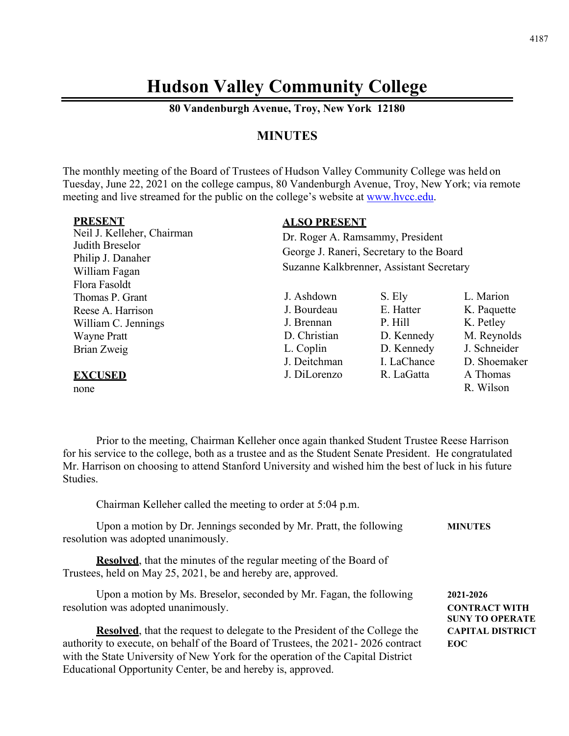# **Hudson Valley Community College**

**80 Vandenburgh Avenue, Troy, New York 12180** 

## **MINUTES**

The monthly meeting of the Board of Trustees of Hudson Valley Community College was held on Tuesday, June 22, 2021 on the college campus, 80 Vandenburgh Avenue, Troy, New York; via remote meeting and live streamed for the public on the college's website at www.hvcc.edu.

| <b>PRESENT</b>                     | <b>ALSO PRESENT</b>                      |             |              |
|------------------------------------|------------------------------------------|-------------|--------------|
| Neil J. Kelleher, Chairman         | Dr. Roger A. Ramsammy, President         |             |              |
| Judith Breselor                    | George J. Raneri, Secretary to the Board |             |              |
| Philip J. Danaher<br>William Fagan | Suzanne Kalkbrenner, Assistant Secretary |             |              |
| Flora Fasoldt                      |                                          |             |              |
| Thomas P. Grant                    | J. Ashdown                               | S. Ely      | L. Marion    |
| Reese A. Harrison                  | J. Bourdeau                              | E. Hatter   | K. Paquette  |
| William C. Jennings                | J. Brennan                               | P. Hill     | K. Petley    |
| <b>Wayne Pratt</b>                 | D. Christian                             | D. Kennedy  | M. Reynolds  |
| Brian Zweig                        | L. Coplin                                | D. Kennedy  | J. Schneider |
|                                    | J. Deitchman                             | I. LaChance | D. Shoemaker |
| <b>EXCUSED</b>                     | J. DiLorenzo                             | R. LaGatta  | A Thomas     |
| none                               |                                          |             | R. Wilson    |

 Prior to the meeting, Chairman Kelleher once again thanked Student Trustee Reese Harrison for his service to the college, both as a trustee and as the Student Senate President. He congratulated Mr. Harrison on choosing to attend Stanford University and wished him the best of luck in his future Studies.

Chairman Kelleher called the meeting to order at 5:04 p.m.

| <b>MINUTES</b>                                              |
|-------------------------------------------------------------|
|                                                             |
| 2021-2026<br><b>CONTRACT WITH</b><br><b>SUNY TO OPERATE</b> |
| <b>CAPITAL DISTRICT</b><br><b>EOC</b>                       |
|                                                             |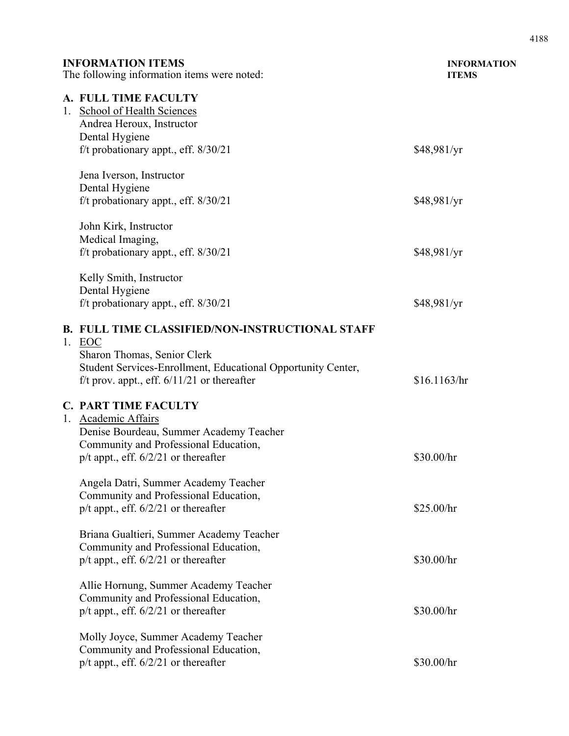| <b>INFORMATION ITEMS</b><br>The following information items were noted: |                                                                                                               | <b>INFORMATION</b><br><b>ITEMS</b> |
|-------------------------------------------------------------------------|---------------------------------------------------------------------------------------------------------------|------------------------------------|
|                                                                         | A. FULL TIME FACULTY<br>1. School of Health Sciences<br>Andrea Heroux, Instructor<br>Dental Hygiene           |                                    |
|                                                                         | f/t probationary appt., eff. $8/30/21$                                                                        | \$48,981/yr                        |
|                                                                         | Jena Iverson, Instructor<br>Dental Hygiene                                                                    |                                    |
|                                                                         | f/t probationary appt., eff. $8/30/21$                                                                        | \$48,981/yr                        |
|                                                                         | John Kirk, Instructor<br>Medical Imaging,                                                                     |                                    |
|                                                                         | f/t probationary appt., eff. $8/30/21$                                                                        | \$48,981/yr                        |
|                                                                         | Kelly Smith, Instructor<br>Dental Hygiene                                                                     |                                    |
|                                                                         | f/t probationary appt., eff. 8/30/21                                                                          | \$48,981/yr                        |
|                                                                         | <b>B. FULL TIME CLASSIFIED/NON-INSTRUCTIONAL STAFF</b><br>1. EOC                                              |                                    |
|                                                                         | Sharon Thomas, Senior Clerk                                                                                   |                                    |
|                                                                         | Student Services-Enrollment, Educational Opportunity Center,<br>f/t prov. appt., eff. $6/11/21$ or thereafter | \$16.1163/hr                       |
|                                                                         | <b>C. PART TIME FACULTY</b>                                                                                   |                                    |
|                                                                         | 1. Academic Affairs                                                                                           |                                    |
|                                                                         | Denise Bourdeau, Summer Academy Teacher<br>Community and Professional Education,                              |                                    |
|                                                                         | $p/t$ appt., eff. $6/2/21$ or thereafter                                                                      | \$30.00/hr                         |
|                                                                         | Angela Datri, Summer Academy Teacher                                                                          |                                    |
|                                                                         | Community and Professional Education,                                                                         |                                    |
|                                                                         | $p/t$ appt., eff. $6/2/21$ or thereafter                                                                      | \$25.00/hr                         |
|                                                                         | Briana Gualtieri, Summer Academy Teacher                                                                      |                                    |
|                                                                         | Community and Professional Education,                                                                         |                                    |
|                                                                         | $p/t$ appt., eff. $6/2/21$ or thereafter                                                                      | \$30.00/hr                         |
|                                                                         | Allie Hornung, Summer Academy Teacher                                                                         |                                    |
|                                                                         | Community and Professional Education,                                                                         |                                    |
|                                                                         | $p/t$ appt., eff. $6/2/21$ or thereafter                                                                      | \$30.00/hr                         |
|                                                                         | Molly Joyce, Summer Academy Teacher                                                                           |                                    |
|                                                                         | Community and Professional Education,                                                                         | \$30.00/hr                         |
|                                                                         | $p/t$ appt., eff. $6/2/21$ or thereafter                                                                      |                                    |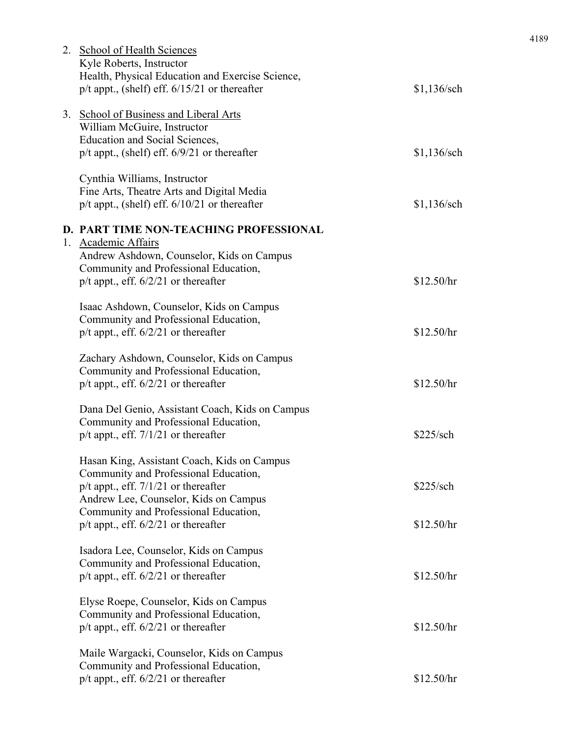| 2. School of Health Sciences                      |               |
|---------------------------------------------------|---------------|
| Kyle Roberts, Instructor                          |               |
| Health, Physical Education and Exercise Science,  |               |
| $p/t$ appt., (shelf) eff. $6/15/21$ or thereafter | \$1,136/sch   |
| 3. School of Business and Liberal Arts            |               |
|                                                   |               |
| William McGuire, Instructor                       |               |
| <b>Education and Social Sciences,</b>             |               |
| $p/t$ appt., (shelf) eff. $6/9/21$ or thereafter  | \$1,136/sch   |
| Cynthia Williams, Instructor                      |               |
| Fine Arts, Theatre Arts and Digital Media         |               |
| $p/t$ appt., (shelf) eff. $6/10/21$ or thereafter | $$1,136$ /sch |
| D. PART TIME NON-TEACHING PROFESSIONAL            |               |
| 1. Academic Affairs                               |               |
| Andrew Ashdown, Counselor, Kids on Campus         |               |
| Community and Professional Education,             |               |
| $p/t$ appt., eff. $6/2/21$ or thereafter          | \$12.50/hr    |
|                                                   |               |
| Isaac Ashdown, Counselor, Kids on Campus          |               |
| Community and Professional Education,             |               |
| $p/t$ appt., eff. $6/2/21$ or thereafter          | \$12.50/hr    |
| Zachary Ashdown, Counselor, Kids on Campus        |               |
| Community and Professional Education,             |               |
| $p/t$ appt., eff. $6/2/21$ or thereafter          | \$12.50/hr    |
|                                                   |               |
| Dana Del Genio, Assistant Coach, Kids on Campus   |               |
| Community and Professional Education,             |               |
| $p/t$ appt., eff. $7/1/21$ or thereafter          | \$225/sch     |
|                                                   |               |
| Hasan King, Assistant Coach, Kids on Campus       |               |
| Community and Professional Education,             |               |
| $p/t$ appt., eff. $7/1/21$ or thereafter          | \$225/sch     |
| Andrew Lee, Counselor, Kids on Campus             |               |
| Community and Professional Education,             |               |
| $p/t$ appt., eff. $6/2/21$ or thereafter          | \$12.50/hr    |
| Isadora Lee, Counselor, Kids on Campus            |               |
| Community and Professional Education,             |               |
| $p/t$ appt., eff. $6/2/21$ or thereafter          | \$12.50/hr    |
|                                                   |               |
| Elyse Roepe, Counselor, Kids on Campus            |               |
| Community and Professional Education,             |               |
| $p/t$ appt., eff. $6/2/21$ or thereafter          | \$12.50/hr    |
| Maile Wargacki, Counselor, Kids on Campus         |               |
| Community and Professional Education,             |               |
| $p/t$ appt., eff. $6/2/21$ or thereafter          | \$12.50/hr    |
|                                                   |               |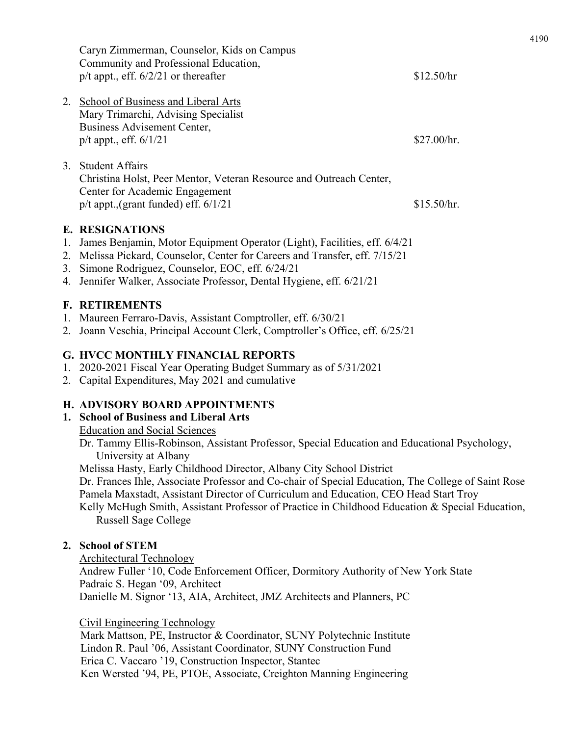|    | Caryn Zimmerman, Counselor, Kids on Campus<br>Community and Professional Education,<br>$p/t$ appt., eff. $6/2/21$ or thereafter                                              | \$12.50/hr  |
|----|------------------------------------------------------------------------------------------------------------------------------------------------------------------------------|-------------|
| 2. | School of Business and Liberal Arts<br>Mary Trimarchi, Advising Specialist<br>Business Advisement Center,<br>$p/t$ appt., eff. $6/1/21$                                      | \$27.00/hr. |
| 3. | <b>Student Affairs</b><br>Christina Holst, Peer Mentor, Veteran Resource and Outreach Center,<br>Center for Academic Engagement<br>$p/t$ appt., (grant funded) eff. $6/1/21$ | \$15.50/hr. |

#### **E. RESIGNATIONS**

- 1. James Benjamin, Motor Equipment Operator (Light), Facilities, eff. 6/4/21
- 2. Melissa Pickard, Counselor, Center for Careers and Transfer, eff. 7/15/21
- 3. Simone Rodriguez, Counselor, EOC, eff. 6/24/21
- 4. Jennifer Walker, Associate Professor, Dental Hygiene, eff. 6/21/21

#### **F. RETIREMENTS**

- 1. Maureen Ferraro-Davis, Assistant Comptroller, eff. 6/30/21
- 2. Joann Veschia, Principal Account Clerk, Comptroller's Office, eff. 6/25/21

#### **G. HVCC MONTHLY FINANCIAL REPORTS**

- 1. 2020-2021 Fiscal Year Operating Budget Summary as of 5/31/2021
- 2. Capital Expenditures, May 2021 and cumulative

## **H. ADVISORY BOARD APPOINTMENTS**

## **1. School of Business and Liberal Arts**

Education and Social Sciences

Dr. Tammy Ellis-Robinson, Assistant Professor, Special Education and Educational Psychology, University at Albany

Melissa Hasty, Early Childhood Director, Albany City School District

Dr. Frances Ihle, Associate Professor and Co-chair of Special Education, The College of Saint Rose Pamela Maxstadt, Assistant Director of Curriculum and Education, CEO Head Start Troy

Kelly McHugh Smith, Assistant Professor of Practice in Childhood Education & Special Education, Russell Sage College

#### **2. School of STEM**

Architectural Technology

Andrew Fuller '10, Code Enforcement Officer, Dormitory Authority of New York State Padraic S. Hegan '09, Architect Danielle M. Signor '13, AIA, Architect, JMZ Architects and Planners, PC

Civil Engineering Technology

Mark Mattson, PE, Instructor & Coordinator, SUNY Polytechnic Institute Lindon R. Paul '06, Assistant Coordinator, SUNY Construction Fund Erica C. Vaccaro '19, Construction Inspector, Stantec Ken Wersted '94, PE, PTOE, Associate, Creighton Manning Engineering